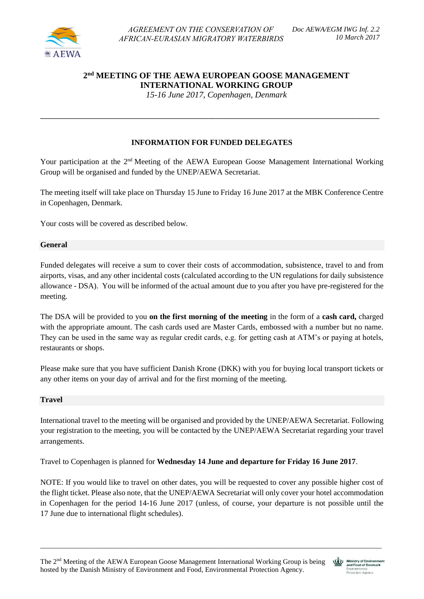

# **2 nd MEETING OF THE AEWA EUROPEAN GOOSE MANAGEMENT INTERNATIONAL WORKING GROUP**

 *15-16 June 2017, Copenhagen, Denmark*

# **INFORMATION FOR FUNDED DELEGATES**

\_\_\_\_\_\_\_\_\_\_\_\_\_\_\_\_\_\_\_\_\_\_\_\_\_\_\_\_\_\_\_\_\_\_\_\_\_\_\_\_\_\_\_\_\_\_\_\_\_\_\_\_\_\_\_\_\_\_\_\_\_\_\_\_\_\_\_\_\_\_\_\_\_\_\_\_\_\_\_\_\_\_\_\_\_\_\_

Your participation at the 2<sup>nd</sup> Meeting of the AEWA European Goose Management International Working Group will be organised and funded by the UNEP/AEWA Secretariat.

The meeting itself will take place on Thursday 15 June to Friday 16 June 2017 at the MBK Conference Centre in Copenhagen, Denmark.

Your costs will be covered as described below.

## **General**

Funded delegates will receive a sum to cover their costs of accommodation, subsistence, travel to and from airports, visas, and any other incidental costs (calculated according to the UN regulations for daily subsistence allowance - DSA). You will be informed of the actual amount due to you after you have pre-registered for the meeting.

The DSA will be provided to you **on the first morning of the meeting** in the form of a **cash card,** charged with the appropriate amount. The cash cards used are Master Cards, embossed with a number but no name. They can be used in the same way as regular credit cards, e.g. for getting cash at ATM's or paying at hotels, restaurants or shops.

Please make sure that you have sufficient Danish Krone (DKK) with you for buying local transport tickets or any other items on your day of arrival and for the first morning of the meeting.

#### **Travel**

International travel to the meeting will be organised and provided by the UNEP/AEWA Secretariat. Following your registration to the meeting, you will be contacted by the UNEP/AEWA Secretariat regarding your travel arrangements.

Travel to Copenhagen is planned for **Wednesday 14 June and departure for Friday 16 June 2017**.

NOTE: If you would like to travel on other dates, you will be requested to cover any possible higher cost of the flight ticket. Please also note, that the UNEP/AEWA Secretariat will only cover your hotel accommodation in Copenhagen for the period 14-16 June 2017 (unless, of course, your departure is not possible until the 17 June due to international flight schedules).

\_\_\_\_\_\_\_\_\_\_\_\_\_\_\_\_\_\_\_\_\_\_\_\_\_\_\_\_\_\_\_\_\_\_\_\_\_\_\_\_\_\_\_\_\_\_\_\_\_\_\_\_\_\_\_\_\_\_\_\_\_\_\_\_\_\_\_\_\_\_\_\_\_\_\_\_\_\_\_\_\_\_\_\_\_\_\_\_\_\_\_\_\_\_\_\_